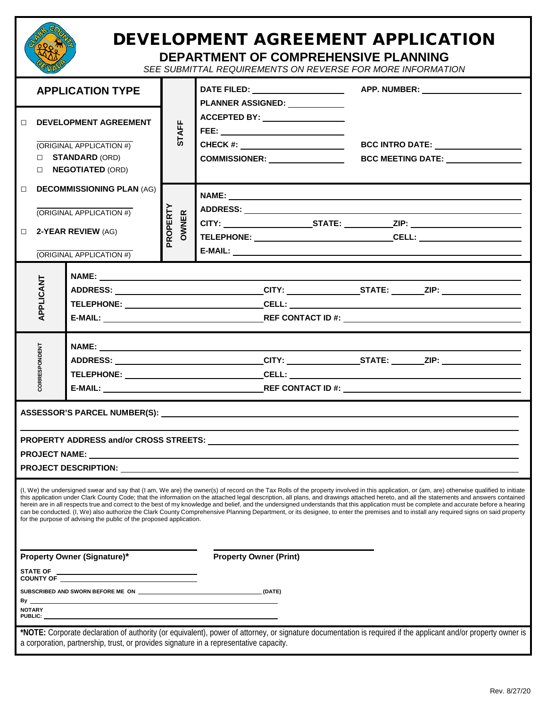|                                                                                                                                                                                                                                                    |                                                                     |                          | DEVELOPMENT AGREEMENT APPLICATION<br><b>DEPARTMENT OF COMPREHENSIVE PLANNING</b><br>SEE SUBMITTAL REQUIREMENTS ON REVERSE FOR MORE INFORMATION |  |  |                                                                                                                                                                                                                                                                                                                                                                                                                                                                                                                                                                                                                                                                                                                                                                               |  |
|----------------------------------------------------------------------------------------------------------------------------------------------------------------------------------------------------------------------------------------------------|---------------------------------------------------------------------|--------------------------|------------------------------------------------------------------------------------------------------------------------------------------------|--|--|-------------------------------------------------------------------------------------------------------------------------------------------------------------------------------------------------------------------------------------------------------------------------------------------------------------------------------------------------------------------------------------------------------------------------------------------------------------------------------------------------------------------------------------------------------------------------------------------------------------------------------------------------------------------------------------------------------------------------------------------------------------------------------|--|
| <b>APPLICATION TYPE</b>                                                                                                                                                                                                                            |                                                                     | <b>STAFF</b>             | PLANNER ASSIGNED: _____________                                                                                                                |  |  |                                                                                                                                                                                                                                                                                                                                                                                                                                                                                                                                                                                                                                                                                                                                                                               |  |
| <b>DEVELOPMENT AGREEMENT</b><br>П<br>(ORIGINAL APPLICATION #)<br><b>STANDARD (ORD)</b><br>I NEGOTIATED (ORD)<br><b>DECOMMISSIONING PLAN (AG)</b><br>$\Box$<br>(ORIGINAL APPLICATION #)<br>2-YEAR REVIEW (AG)<br>$\Box$<br>(ORIGINAL APPLICATION #) |                                                                     |                          | ACCEPTED BY: ___________________<br>FEE: ____ ________________________<br>CHECK #: _________________________<br>COMMISSIONER: _______________  |  |  | BCC MEETING DATE: _______________                                                                                                                                                                                                                                                                                                                                                                                                                                                                                                                                                                                                                                                                                                                                             |  |
|                                                                                                                                                                                                                                                    |                                                                     | PROPERTY<br><b>OWNER</b> |                                                                                                                                                |  |  |                                                                                                                                                                                                                                                                                                                                                                                                                                                                                                                                                                                                                                                                                                                                                                               |  |
| APPLICANT                                                                                                                                                                                                                                          |                                                                     |                          |                                                                                                                                                |  |  | ADDRESS: _______________________________CITY: ________________STATE: _______ZIP: __________________                                                                                                                                                                                                                                                                                                                                                                                                                                                                                                                                                                                                                                                                           |  |
| <b>RESPONDENT</b>                                                                                                                                                                                                                                  |                                                                     |                          |                                                                                                                                                |  |  |                                                                                                                                                                                                                                                                                                                                                                                                                                                                                                                                                                                                                                                                                                                                                                               |  |
|                                                                                                                                                                                                                                                    | for the purpose of advising the public of the proposed application. |                          |                                                                                                                                                |  |  | (I, We) the undersigned swear and say that (I am, We are) the owner(s) of record on the Tax Rolls of the property involved in this application, or (am, are) otherwise qualified to initiate<br>this application under Clark County Code; that the information on the attached legal description, all plans, and drawings attached hereto, and all the statements and answers contained<br>herein are in all respects true and correct to the best of my knowledge and belief, and the undersigned understands that this application must be complete and accurate before a hearing<br>can be conducted. (I, We) also authorize the Clark County Comprehensive Planning Department, or its designee, to enter the premises and to install any required signs on said property |  |
| <b>Property Owner (Signature)*</b><br>SUBSCRIBED AND SWORN BEFORE ME ON <b>CONSUMING THE ON</b> (DATE)<br><b>NOTARY</b>                                                                                                                            |                                                                     |                          | <b>Property Owner (Print)</b>                                                                                                                  |  |  |                                                                                                                                                                                                                                                                                                                                                                                                                                                                                                                                                                                                                                                                                                                                                                               |  |
|                                                                                                                                                                                                                                                    |                                                                     |                          | a corporation, partnership, trust, or provides signature in a representative capacity.                                                         |  |  | *NOTE: Corporate declaration of authority (or equivalent), power of attorney, or signature documentation is required if the applicant and/or property owner is                                                                                                                                                                                                                                                                                                                                                                                                                                                                                                                                                                                                                |  |